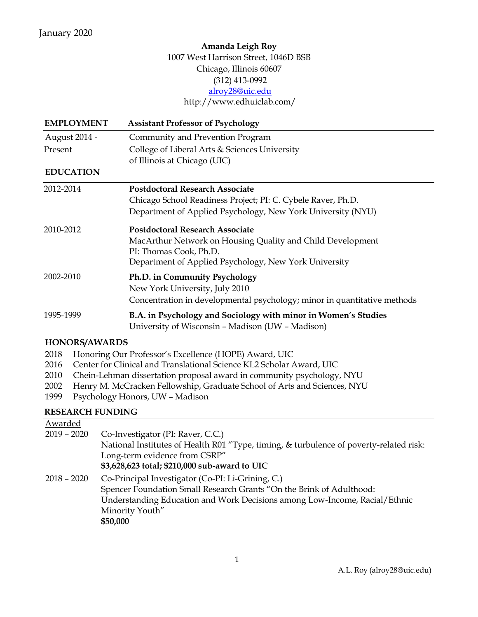# **Amanda Leigh Roy** 1007 West Harrison Street, 1046D BSB Chicago, Illinois 60607 (312) 413-0992 [alroy28@uic.edu](mailto:alroy28@uic.edu) <http://www.edhuiclab.com/>

| <b>EMPLOYMENT</b> | <b>Assistant Professor of Psychology</b>                                 |
|-------------------|--------------------------------------------------------------------------|
| August 2014 -     | Community and Prevention Program                                         |
| Present           | College of Liberal Arts & Sciences University                            |
|                   | of Illinois at Chicago (UIC)                                             |
| <b>EDUCATION</b>  |                                                                          |
| 2012-2014         | <b>Postdoctoral Research Associate</b>                                   |
|                   | Chicago School Readiness Project; PI: C. Cybele Raver, Ph.D.             |
|                   | Department of Applied Psychology, New York University (NYU)              |
| 2010-2012         | <b>Postdoctoral Research Associate</b>                                   |
|                   | MacArthur Network on Housing Quality and Child Development               |
|                   | PI: Thomas Cook, Ph.D.                                                   |
|                   | Department of Applied Psychology, New York University                    |
| 2002-2010         | Ph.D. in Community Psychology                                            |
|                   | New York University, July 2010                                           |
|                   | Concentration in developmental psychology; minor in quantitative methods |
| 1995-1999         | B.A. in Psychology and Sociology with minor in Women's Studies           |
|                   | University of Wisconsin - Madison (UW - Madison)                         |

#### **HONORS/AWAR DS**

| 2018 | Honoring Our Professor's Excellence (HOPE) Award, UIC |  |  |
|------|-------------------------------------------------------|--|--|
|------|-------------------------------------------------------|--|--|

- 2016 Center for Clinical and Translational Science KL2 Scholar Award, UIC
- 2010 Chein-Lehman dissertation proposal award in community psychology, NYU
- 2002 Henry M. McCracken Fellowship, Graduate School of Arts and Sciences, NYU
- 1999 Psychology Honors, UW Madison

# **RESEARCH FUNDING**

| Awarded       |                                                                                        |
|---------------|----------------------------------------------------------------------------------------|
| $2019 - 2020$ | Co-Investigator (PI: Raver, C.C.)                                                      |
|               | National Institutes of Health R01 "Type, timing, & turbulence of poverty-related risk: |
|               | Long-term evidence from CSRP"                                                          |
|               | \$3,628,623 total; \$210,000 sub-award to UIC                                          |
| $2018 - 2020$ | Co-Principal Investigator (Co-PI: Li-Grining, C.)                                      |
|               | Spencer Foundation Small Research Grants "On the Brink of Adulthood:                   |
|               | Understanding Education and Work Decisions among Low-Income, Racial/Ethnic             |
|               | Minority Youth"                                                                        |
|               | \$50,000                                                                               |
|               |                                                                                        |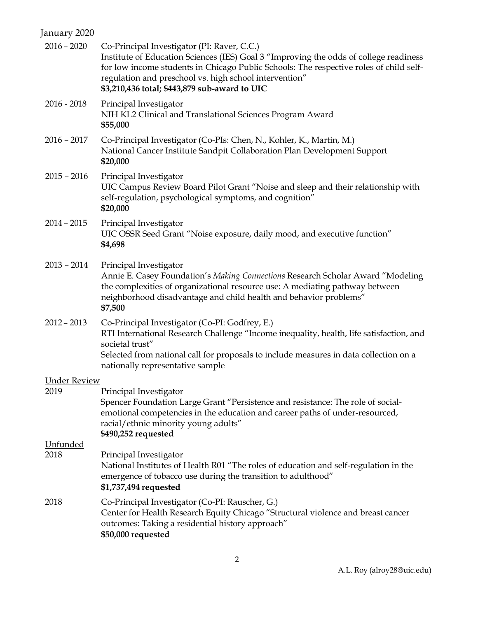# January 2020

| $2016 - 2020$       | Co-Principal Investigator (PI: Raver, C.C.)<br>Institute of Education Sciences (IES) Goal 3 "Improving the odds of college readiness<br>for low income students in Chicago Public Schools: The respective roles of child self-<br>regulation and preschool vs. high school intervention"<br>\$3,210,436 total; \$443,879 sub-award to UIC |
|---------------------|-------------------------------------------------------------------------------------------------------------------------------------------------------------------------------------------------------------------------------------------------------------------------------------------------------------------------------------------|
| $2016 - 2018$       | Principal Investigator<br>NIH KL2 Clinical and Translational Sciences Program Award<br>\$55,000                                                                                                                                                                                                                                           |
| $2016 - 2017$       | Co-Principal Investigator (Co-PIs: Chen, N., Kohler, K., Martin, M.)<br>National Cancer Institute Sandpit Collaboration Plan Development Support<br>\$20,000                                                                                                                                                                              |
| $2015 - 2016$       | Principal Investigator<br>UIC Campus Review Board Pilot Grant "Noise and sleep and their relationship with<br>self-regulation, psychological symptoms, and cognition"<br>\$20,000                                                                                                                                                         |
| $2014 - 2015$       | Principal Investigator<br>UIC OSSR Seed Grant "Noise exposure, daily mood, and executive function"<br>\$4,698                                                                                                                                                                                                                             |
| $2013 - 2014$       | Principal Investigator<br>Annie E. Casey Foundation's Making Connections Research Scholar Award "Modeling<br>the complexities of organizational resource use: A mediating pathway between<br>neighborhood disadvantage and child health and behavior problems"<br>\$7,500                                                                 |
| $2012 - 2013$       | Co-Principal Investigator (Co-PI: Godfrey, E.)<br>RTI International Research Challenge "Income inequality, health, life satisfaction, and<br>societal trust"<br>Selected from national call for proposals to include measures in data collection on a<br>nationally representative sample                                                 |
| <b>Under Review</b> |                                                                                                                                                                                                                                                                                                                                           |
| 2019                | Principal Investigator<br>Spencer Foundation Large Grant "Persistence and resistance: The role of social-<br>emotional competencies in the education and career paths of under-resourced,<br>racial/ethnic minority young adults"<br>\$490,252 requested                                                                                  |
| Unfunded            |                                                                                                                                                                                                                                                                                                                                           |
| 2018                | Principal Investigator<br>National Institutes of Health R01 "The roles of education and self-regulation in the<br>emergence of tobacco use during the transition to adulthood"<br>\$1,737,494 requested                                                                                                                                   |
| 2018                | Co-Principal Investigator (Co-PI: Rauscher, G.)<br>Center for Health Research Equity Chicago "Structural violence and breast cancer<br>outcomes: Taking a residential history approach"<br>\$50,000 requested                                                                                                                             |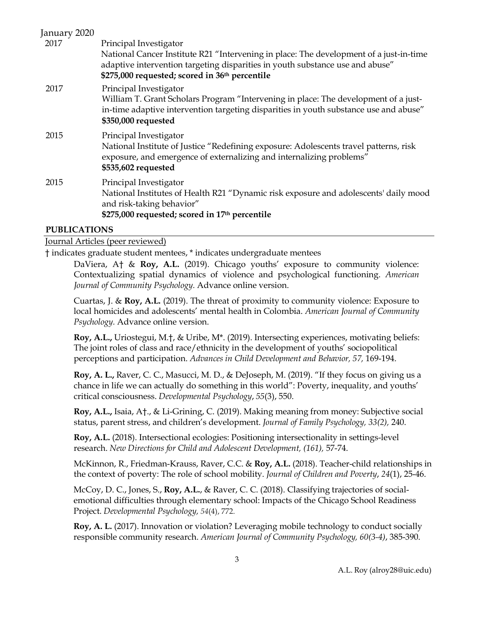| January 2020 |                                                                                                                                                                              |
|--------------|------------------------------------------------------------------------------------------------------------------------------------------------------------------------------|
| 2017         | Principal Investigator                                                                                                                                                       |
|              | National Cancer Institute R21 "Intervening in place: The development of a just-in-time                                                                                       |
|              | adaptive intervention targeting disparities in youth substance use and abuse"                                                                                                |
|              | \$275,000 requested; scored in 36th percentile                                                                                                                               |
| 2017         | Principal Investigator                                                                                                                                                       |
|              | William T. Grant Scholars Program "Intervening in place: The development of a just-<br>in-time adaptive intervention targeting disparities in youth substance use and abuse" |
|              | \$350,000 requested                                                                                                                                                          |
|              |                                                                                                                                                                              |
| 2015         | Principal Investigator<br>National Institute of Justice "Redefining exposure: Adolescents travel patterns, risk                                                              |
|              | exposure, and emergence of externalizing and internalizing problems"                                                                                                         |
|              | \$535,602 requested                                                                                                                                                          |
| 2015         | Principal Investigator                                                                                                                                                       |
|              | National Institutes of Health R21 "Dynamic risk exposure and adolescents' daily mood                                                                                         |
|              | and risk-taking behavior"                                                                                                                                                    |
|              | \$275,000 requested; scored in 17th percentile                                                                                                                               |
|              |                                                                                                                                                                              |

#### **PUBLICATIONS**

#### Journal Articles (peer reviewed)

† indicates graduate student mentees, \* indicates undergraduate mentees

DaViera, A† & **Roy, A.L.** (2019). Chicago youths' exposure to community violence: Contextualizing spatial dynamics of violence and psychological functioning. *American Journal of Community Psychology.* Advance online version.

Cuartas, J. & **Roy, A.L.** (2019). The threat of proximity to community violence: Exposure to local homicides and adolescents' mental health in Colombia. *American Journal of Community Psychology.* Advance online version.

**Roy, A.L.,** Uriostegui, M.†, & Uribe, M\*. (2019). Intersecting experiences, motivating beliefs: The joint roles of class and race/ethnicity in the development of youths' sociopolitical perceptions and participation. *Advances in Child Development and Behavior, 57,* 169-194.

**Roy, A. L.,** Raver, C. C., Masucci, M. D., & DeJoseph, M. (2019). "If they focus on giving us a chance in life we can actually do something in this world": Poverty, inequality, and youths' critical consciousness. *Developmental Psychology*, *55*(3), 550.

**Roy, A.L.,** Isaia, A†., & Li-Grining, C. (2019). Making meaning from money: Subjective social status, parent stress, and children's development. *Journal of Family Psychology, 33(2),* 240.

**Roy, A.L.** (2018). Intersectional ecologies: Positioning intersectionality in settings-level research. *New Directions for Child and Adolescent Development, (161),* 57-74.

McKinnon, R., Friedman-Krauss, Raver, C.C. & **Roy, A.L.** (2018). Teacher-child relationships in the context of poverty: The role of school mobility. *Journal of Children and Poverty*, *24*(1), 25-46.

McCoy, D. C., Jones, S., **Roy, A.L.**, & Raver, C. C. (2018). Classifying trajectories of socialemotional difficulties through elementary school: Impacts of the Chicago School Readiness Project. *Developmental Psychology, 54*(4), 772.

**Roy, A. L.** (2017). Innovation or violation? Leveraging mobile technology to conduct socially responsible community research. *American Journal of Community Psychology, 60(3-4)*, 385-390.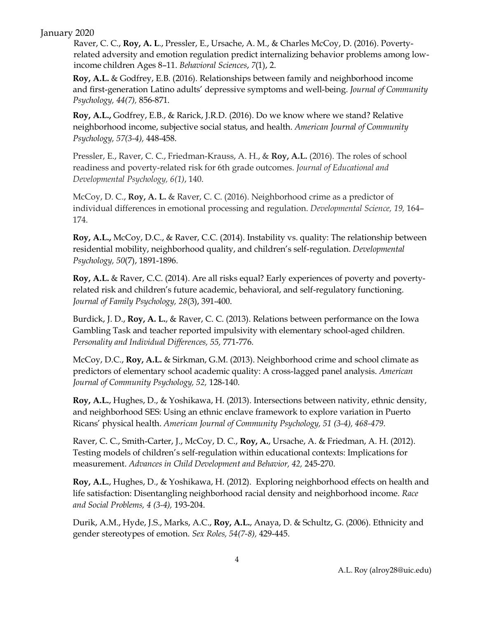## January 2020

Raver, C. C., **Roy, A. L**., Pressler, E., Ursache, A. M., & Charles McCoy, D. (2016). Povertyrelated adversity and emotion regulation predict internalizing behavior problems among lowincome children Ages 8–11. *Behavioral Sciences*, *7*(1), 2.

**Roy, A.L.** & Godfrey, E.B. (2016). Relationships between family and neighborhood income and first-generation Latino adults' depressive symptoms and well-being. *Journal of Community Psychology, 44(7),* 856-871.

**Roy, A.L.,** Godfrey, E.B., & Rarick, J.R.D. (2016). Do we know where we stand? Relative neighborhood income, subjective social status, and health. *American Journal of Community Psychology, 57(3-4),* 448-458.

Pressler, E., Raver, C. C., Friedman-Krauss, A. H., & **Roy, A.L.** (2016). The roles of school readiness and poverty-related risk for 6th grade outcomes. *Journal of Educational and Developmental Psychology, 6(1)*, 140.

McCoy, D. C., **Roy, A. L.** & Raver, C. C. (2016). Neighborhood crime as a predictor of individual differences in emotional processing and regulation. *Developmental Science, 19,* 164– 174.

**Roy, A.L.,** McCoy, D.C., & Raver, C.C. (2014). Instability vs. quality: The relationship between residential mobility, neighborhood quality, and children's self-regulation. *Developmental Psychology, 50*(7), 1891-1896.

**Roy, A.L.** & Raver, C.C. (2014). Are all risks equal? Early experiences of poverty and povertyrelated risk and children's future academic, behavioral, and self-regulatory functioning. *Journal of Family Psychology, 28*(3), 391-400.

Burdick, J. D., **Roy, A. L.**, & Raver, C. C. (2013). Relations between performance on the Iowa Gambling Task and teacher reported impulsivity with elementary school-aged children. *Personality and Individual Differences, 55,* 771-776*.*

McCoy, D.C., **Roy, A.L.** & Sirkman, G.M. (2013). Neighborhood crime and school climate as predictors of elementary school academic quality: A cross-lagged panel analysis. *American Journal of Community Psychology, 52,* 128-140.

**Roy, A.L.**, Hughes, D., & Yoshikawa, H. (2013). Intersections between nativity, ethnic density, and neighborhood SES: Using an ethnic enclave framework to explore variation in Puerto Ricans' physical health. *American Journal of Community Psychology, 51 (3-4), 468-479.*

Raver, C. C., Smith-Carter, J., McCoy, D. C., **Roy, A.**, Ursache, A. & Friedman, A. H. (2012). Testing models of children's self-regulation within educational contexts: Implications for measurement. *Advances in Child Development and Behavior, 42,* 245-270.

**Roy, A.L.**, Hughes, D., & Yoshikawa, H. (2012). Exploring neighborhood effects on health and life satisfaction: Disentangling neighborhood racial density and neighborhood income. *Race and Social Problems, 4 (3-4),* 193-204.

Durik, A.M., Hyde, J.S., Marks, A.C., **Roy, A.L.**, Anaya, D. & Schultz, G. (2006). Ethnicity and gender stereotypes of emotion. *Sex Roles, 54(7-8),* 429-445.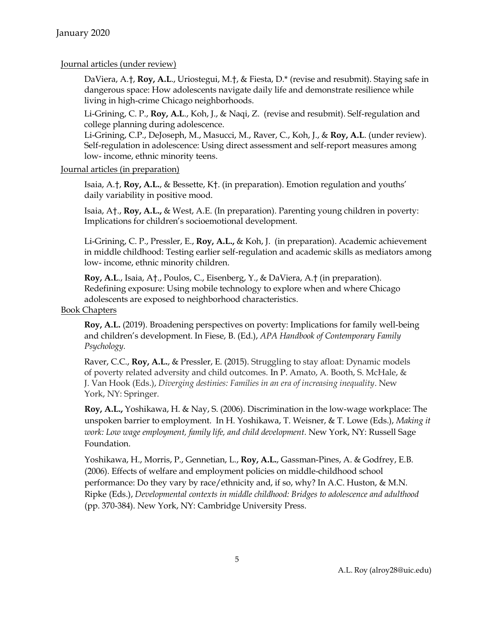# Journal articles (under review)

DaViera, A.†, **Roy, A.L**., Uriostegui, M.†, & Fiesta, D.\* (revise and resubmit). Staying safe in dangerous space: How adolescents navigate daily life and demonstrate resilience while living in high-crime Chicago neighborhoods.

Li-Grining, C. P., **Roy, A.L**., Koh, J., & Naqi, Z. (revise and resubmit). Self-regulation and college planning during adolescence.

Li-Grining, C.P., DeJoseph, M., Masucci, M., Raver, C., Koh, J., & **Roy, A.L**. (under review). Self-regulation in adolescence: Using direct assessment and self-report measures among low- income, ethnic minority teens.

Journal articles (in preparation)

Isaia, A.†, **Roy, A.L.**, & Bessette, K†. (in preparation). Emotion regulation and youths' daily variability in positive mood.

Isaia, A†., **Roy, A.L.,** & West, A.E. (In preparation). Parenting young children in poverty: Implications for children's socioemotional development.

Li-Grining, C. P., Pressler, E., **Roy, A.L.,** & Koh, J. (in preparation). Academic achievement in middle childhood: Testing earlier self-regulation and academic skills as mediators among low- income, ethnic minority children.

**Roy, A.L**., Isaia, A†., Poulos, C., Eisenberg, Y., & DaViera, A.† (in preparation). Redefining exposure: Using mobile technology to explore when and where Chicago adolescents are exposed to neighborhood characteristics.

#### Book Chapters

**Roy, A.L.** (2019). Broadening perspectives on poverty: Implications for family well-being and children's development. In Fiese, B. (Ed.), *APA Handbook of Contemporary Family Psychology.*

Raver, C.C., **Roy, A.L.**, & Pressler, E. (2015). Struggling to stay afloat: Dynamic models of poverty related adversity and child outcomes. In P. Amato, A. Booth, S. McHale, & J. Van Hook (Eds.), *Diverging destinies: Families in an era of increasing inequality*. New York, NY: Springer.

**Roy, A.L.,** Yoshikawa, H. & Nay, S. (2006). Discrimination in the low-wage workplace: The unspoken barrier to employment. In H. Yoshikawa, T. Weisner, & T. Lowe (Eds.), *Making it work: Low wage employment, family life, and child development.* New York, NY: Russell Sage Foundation.

Yoshikawa, H., Morris, P., Gennetian, L., **Roy, A.L.**, Gassman-Pines, A. & Godfrey, E.B. (2006). Effects of welfare and employment policies on middle-childhood school performance: Do they vary by race/ethnicity and, if so, why? In A.C. Huston, & M.N. Ripke (Eds.), *Developmental contexts in middle childhood: Bridges to adolescence and adulthood* (pp. 370-384). New York, NY: Cambridge University Press.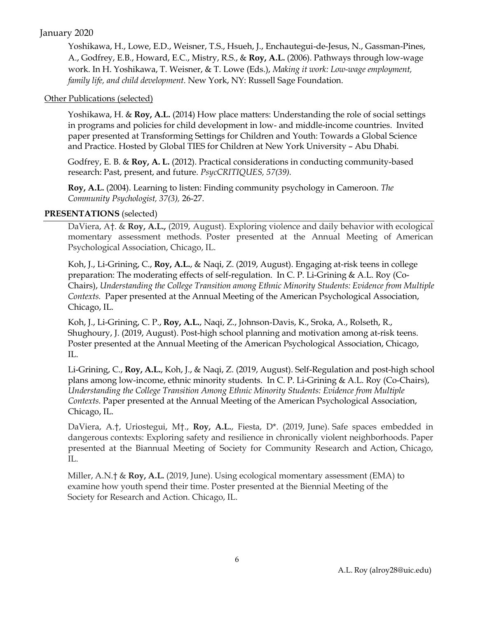# January 2020

Yoshikawa, H., Lowe, E.D., Weisner, T.S., Hsueh, J., Enchautegui-de-Jesus, N., Gassman-Pines, A., Godfrey, E.B., Howard, E.C., Mistry, R.S., & **Roy, A.L.** (2006). Pathways through low-wage work. In H. Yoshikawa, T. Weisner, & T. Lowe (Eds.), *Making it work: Low-wage employment, family life, and child development.* New York, NY: Russell Sage Foundation.

## Other Publications (selected)

Yoshikawa, H. & **Roy, A.L.** (2014) How place matters: Understanding the role of social settings in programs and policies for child development in low- and middle-income countries. Invited paper presented at Transforming Settings for Children and Youth: Towards a Global Science and Practice. Hosted by Global TIES for Children at New York University – Abu Dhabi.

Godfrey, E. B. & **Roy, A. L.** (2012). Practical considerations in conducting community-based research: Past, present, and future. *PsycCRITIQUES, 57(39).*

**Roy, A.L.** (2004). Learning to listen: Finding community psychology in Cameroon. *The Community Psychologist, 37(3),* 26-27.

# **PRESENTATIONS** (selected)

DaViera, A†. & **Roy, A.L.,** (2019, August). Exploring violence and daily behavior with ecological momentary assessment methods. Poster presented at the Annual Meeting of American Psychological Association, Chicago, IL.

Koh, J., Li-Grining, C., **Roy, A.L.**, & Naqi, Z. (2019, August). Engaging at-risk teens in college preparation: The moderating effects of self-regulation. In C. P. Li-Grining & A.L. Roy (Co-Chairs), *Understanding the College Transition among Ethnic Minority Students: Evidence from Multiple Contexts.* Paper presented at the Annual Meeting of the American Psychological Association, Chicago, IL.

Koh, J., Li-Grining, C. P., **Roy, A.L.**, Naqi, Z., Johnson-Davis, K., Sroka, A., Rolseth, R., Shughoury, J. (2019, August). Post-high school planning and motivation among at-risk teens. Poster presented at the Annual Meeting of the American Psychological Association, Chicago, IL.

Li-Grining, C., **Roy, A.L.**, Koh, J., & Naqi, Z. (2019, August). Self-Regulation and post-high school plans among low-income, ethnic minority students. In C. P. Li-Grining & A.L. Roy (Co-Chairs), *Understanding the College Transition Among Ethnic Minority Students: Evidence from Multiple Contexts.* Paper presented at the Annual Meeting of the American Psychological Association, Chicago, IL.

DaViera, A.†, Uriostegui, M†., **Roy, A.L.**, Fiesta, D\*. (2019, June). Safe spaces embedded in dangerous contexts: Exploring safety and resilience in chronically violent neighborhoods. Paper presented at the Biannual Meeting of Society for Community Research and Action, Chicago, IL.

Miller, A.N.† & **Roy, A.L.** (2019, June). Using ecological momentary assessment (EMA) to examine how youth spend their time. Poster presented at the Biennial Meeting of the Society for Research and Action. Chicago, IL.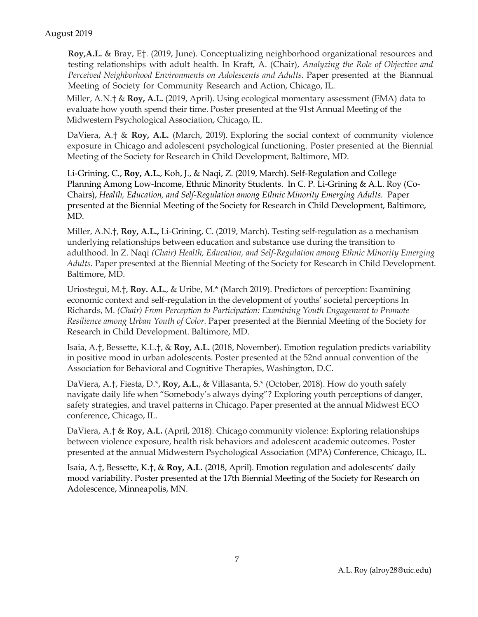**Roy,A.L.** & Bray, E†. (2019, June). Conceptualizing neighborhood organizational resources and testing relationships with adult health. In Kraft, A. (Chair), *Analyzing the Role of Objective and Perceived Neighborhood Environments on Adolescents and Adults.* Paper presented at the Biannual Meeting of Society for Community Research and Action, Chicago, IL.

Miller, A.N.† & **Roy, A.L.** (2019, April). Using ecological momentary assessment (EMA) data to evaluate how youth spend their time. Poster presented at the 91st Annual Meeting of the Midwestern Psychological Association, Chicago, IL.

DaViera, A.† & **Roy, A.L.** (March, 2019). Exploring the social context of community violence exposure in Chicago and adolescent psychological functioning. Poster presented at the Biennial Meeting of the Society for Research in Child Development, Baltimore, MD.

Li-Grining, C., **Roy, A.L.**, Koh, J., & Naqi, Z. (2019, March). Self-Regulation and College Planning Among Low-Income, Ethnic Minority Students. In C. P. Li-Grining & A.L. Roy (Co-Chairs), *Health, Education, and Self-Regulation among Ethnic Minority Emerging Adults.* Paper presented at the Biennial Meeting of the Society for Research in Child Development, Baltimore, MD.

Miller, A.N.†, **Roy, A.L.,** Li-Grining, C. (2019, March). Testing self-regulation as a mechanism underlying relationships between education and substance use during the transition to adulthood. In Z. Naqi *(Chair) Health, Education, and Self-Regulation among Ethnic Minority Emerging Adults.* Paper presented at the Biennial Meeting of the Society for Research in Child Development. Baltimore, MD.

Uriostegui, M.†, **Roy. A.L.**, & Uribe, M.\* (March 2019). Predictors of perception: Examining economic context and self-regulation in the development of youths' societal perceptions In Richards, M. *(Chair) From Perception to Participation: Examining Youth Engagement to Promote Resilience among Urban Youth of Color.* Paper presented at the Biennial Meeting of the Society for Research in Child Development. Baltimore, MD.

Isaia, A.†, Bessette, K.L.†, & **Roy, A.L.** (2018, November). Emotion regulation predicts variability in positive mood in urban adolescents. Poster presented at the 52nd annual convention of the Association for Behavioral and Cognitive Therapies, Washington, D.C.

DaViera, A.†, Fiesta, D.\*, **Roy, A.L.**, & Villasanta, S.\* (October, 2018). How do youth safely navigate daily life when "Somebody's always dying"? Exploring youth perceptions of danger, safety strategies, and travel patterns in Chicago. Paper presented at the annual Midwest ECO conference, Chicago, IL.

DaViera, A.† & **Roy, A.L.** (April, 2018). Chicago community violence: Exploring relationships between violence exposure, health risk behaviors and adolescent academic outcomes. Poster presented at the annual Midwestern Psychological Association (MPA) Conference, Chicago, IL.

Isaia, A.†, Bessette, K.†, & **Roy, A.L.** (2018, April). Emotion regulation and adolescents' daily mood variability. Poster presented at the 17th Biennial Meeting of the Society for Research on Adolescence, Minneapolis, MN.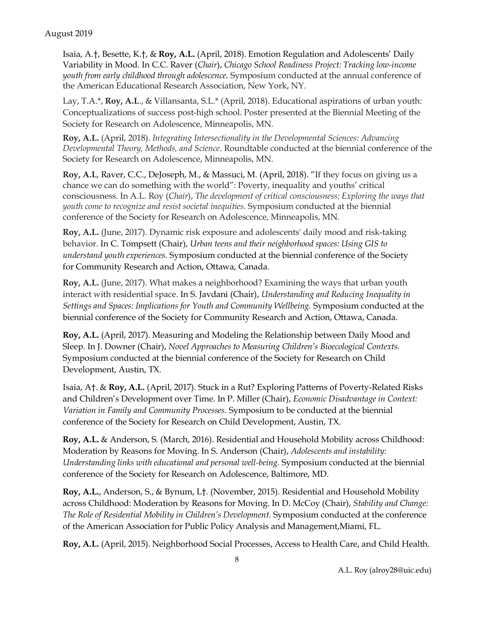Isaia, A.†, Besette, K.†, & **Roy, A.L.** (April, 2018). Emotion Regulation and Adolescents' Daily Variability in Mood. In C.C. Raver (*Chair*), *Chicago School Readiness Project: Tracking low-income youth from early childhood through adolescence.* Symposium conducted at the annual conference of the American Educational Research Association, New York, NY.

Lay, T.A.\*, **Roy, A.L**., & Villansanta, S.L.\* (April, 2018). Educational aspirations of urban youth: Conceptualizations of success post-high school. Poster presented at the Biennial Meeting of the Society for Research on Adolescence, Minneapolis, MN.

**Roy, A.L.** (April, 2018). *Integrating Intersectionality in the Developmental Sciences: Advancing Developmental Theory, Methods, and Science.* Roundtable conducted at the biennial conference of the Society for Research on Adolescence, Minneapolis, MN.

**Roy, A.L**, Raver, C.C., DeJoseph, M., & Massuci, M. (April, 2018). "If they focus on giving us a chance we can do something with the world": Poverty, inequality and youths' critical consciousness. In A.L. Roy (*Chair*), *The development of critical consciousness: Exploring the ways that youth come to recognize and resist societal inequities.* Symposium conducted at the biennial conference of the Society for Research on Adolescence, Minneapolis, MN.

**Roy, A.L.** (June, 2017). Dynamic risk exposure and adolescents' daily mood and risk-taking behavior. In C. Tompsett (Chair), *Urban teens and their neighborhood spaces: Using GIS to understand youth experiences.* Symposium conducted at the biennial conference of the Society for Community Research and Action, Ottawa, Canada.

**Roy, A.L.** (June, 2017). What makes a neighborhood? Examining the ways that urban youth interact with residential space. In S. Javdani (Chair), *Understanding and Reducing Inequality in Settings and Spaces: Implications for Youth and Community Wellbeing.* Symposium conducted at the biennial conference of the Society for Community Research and Action, Ottawa, Canada.

**Roy, A.L.** (April, 2017). Measuring and Modeling the Relationship between Daily Mood and Sleep. In J. Downer (Chair), *Novel Approaches to Measuring Children's Bioecological Contexts.*  Symposium conducted at the biennial conference of the Society for Research on Child Development, Austin, TX.

Isaia, A†. & **Roy, A.L.** (April, 2017). Stuck in a Rut? Exploring Patterns of Poverty-Related Risks and Children's Development over Time. In P. Miller (Chair), *Economic Disadvantage in Context: Variation in Family and Community Processes.* Symposium to be conducted at the biennial conference of the Society for Research on Child Development, Austin, TX.

**Roy, A.L.** & Anderson, S. (March, 2016). Residential and Household Mobility across Childhood: Moderation by Reasons for Moving. In S. Anderson (Chair), *Adolescents and instability: Understanding links with educational and personal well-being.* Symposium conducted at the biennial conference of the Society for Research on Adolescence, Baltimore, MD.

**Roy, A.L.**, Anderson, S., & Bynum, L†. (November, 2015). Residential and Household Mobility across Childhood: Moderation by Reasons for Moving. In D. McCoy (Chair), *Stability and Change: The Role of Residential Mobility in Children's Development.* Symposium conducted at the conference of the American Association for Public Policy Analysis and Management,Miami, FL.

**Roy, A.L.** (April, 2015). Neighborhood Social Processes, Access to Health Care, and Child Health.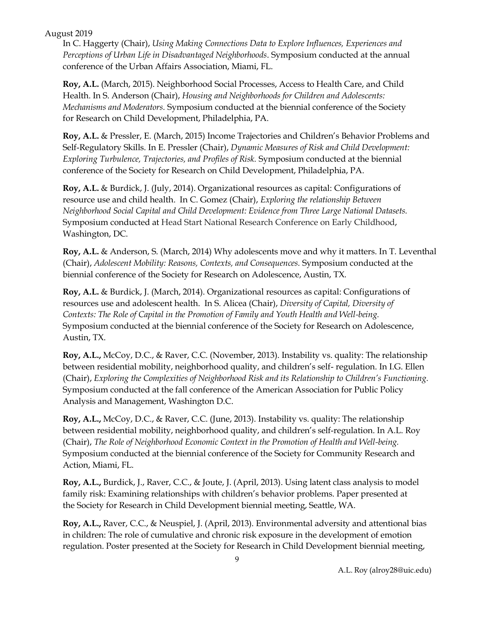In C. Haggerty (Chair), *Using Making Connections Data to Explore Influences, Experiences and Perceptions of Urban Life in Disadvantaged Neighborhoods*. Symposium conducted at the annual conference of the Urban Affairs Association, Miami, FL.

**Roy, A.L.** (March, 2015). Neighborhood Social Processes, Access to Health Care, and Child Health. In S. Anderson (Chair), *Housing and Neighborhoods for Children and Adolescents: Mechanisms and Moderators.* Symposium conducted at the biennial conference of the Society for Research on Child Development, Philadelphia, PA.

**Roy, A.L.** & Pressler, E. (March, 2015) Income Trajectories and Children's Behavior Problems and Self-Regulatory Skills. In E. Pressler (Chair), *Dynamic Measures of Risk and Child Development: Exploring Turbulence, Trajectories, and Profiles of Risk.* Symposium conducted at the biennial conference of the Society for Research on Child Development, Philadelphia, PA.

**Roy, A.L.** & Burdick, J. (July, 2014). Organizational resources as capital: Configurations of resource use and child health. In C. Gomez (Chair), *Exploring the relationship Between Neighborhood Social Capital and Child Development: Evidence from Three Large National Datasets.*  Symposium conducted at Head Start National Research Conference on Early Childhood, Washington, DC.

**Roy, A.L.** & Anderson, S. (March, 2014) Why adolescents move and why it matters. In T. Leventhal (Chair), *Adolescent Mobility: Reasons, Contexts, and Consequences.* Symposium conducted at the biennial conference of the Society for Research on Adolescence, Austin, TX.

**Roy, A.L.** & Burdick, J. (March, 2014). Organizational resources as capital: Configurations of resources use and adolescent health. In S. Alicea (Chair), *Diversity of Capital, Diversity of Contexts: The Role of Capital in the Promotion of Family and Youth Health and Well-being.*  Symposium conducted at the biennial conference of the Society for Research on Adolescence, Austin, TX.

**Roy, A.L.,** McCoy, D.C., & Raver, C.C. (November, 2013). Instability vs. quality: The relationship between residential mobility, neighborhood quality, and children's self- regulation. In I.G. Ellen (Chair), *Exploring the Complexities of Neighborhood Risk and its Relationship to Children's Functioning.* Symposium conducted at the fall conference of the American Association for Public Policy Analysis and Management, Washington D.C.

**Roy, A.L.,** McCoy, D.C., & Raver, C.C. (June, 2013). Instability vs. quality: The relationship between residential mobility, neighborhood quality, and children's self-regulation. In A.L. Roy (Chair), *The Role of Neighborhood Economic Context in the Promotion of Health and Well-being.*  Symposium conducted at the biennial conference of the Society for Community Research and Action, Miami, FL.

**Roy, A.L.,** Burdick, J., Raver, C.C., & Joute, J. (April, 2013). Using latent class analysis to model family risk: Examining relationships with children's behavior problems. Paper presented at the Society for Research in Child Development biennial meeting, Seattle, WA.

**Roy, A.L.,** Raver, C.C., & Neuspiel, J. (April, 2013). Environmental adversity and attentional bias in children: The role of cumulative and chronic risk exposure in the development of emotion regulation. Poster presented at the Society for Research in Child Development biennial meeting,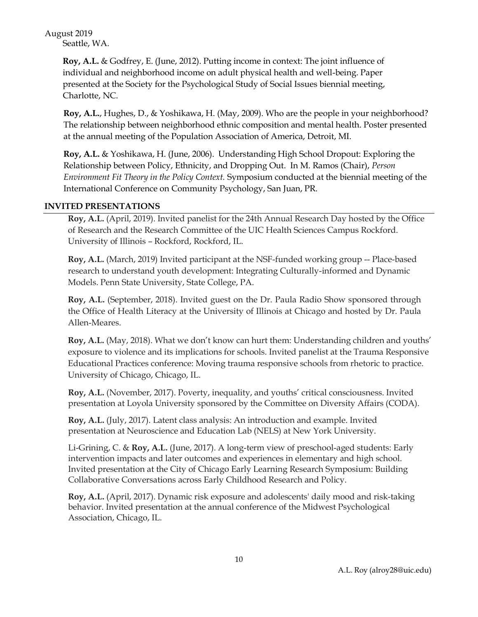August 2019 Seattle, WA.

> **Roy, A.L.** & Godfrey, E. (June, 2012). Putting income in context: The joint influence of individual and neighborhood income on adult physical health and well-being. Paper presented at the Society for the Psychological Study of Social Issues biennial meeting, Charlotte, NC.

**Roy, A.L.**, Hughes, D., & Yoshikawa, H. (May, 2009). Who are the people in your neighborhood? The relationship between neighborhood ethnic composition and mental health. Poster presented at the annual meeting of the Population Association of America, Detroit, MI.

**Roy, A.L.** & Yoshikawa, H. (June, 2006). Understanding High School Dropout: Exploring the Relationship between Policy, Ethnicity, and Dropping Out. In M. Ramos (Chair), *Person Environment Fit Theory in the Policy Context.* Symposium conducted at the biennial meeting of the International Conference on Community Psychology, San Juan, PR.

#### **INVITED PRESENTATIONS**

**Roy, A.L.** (April, 2019). Invited panelist for the 24th Annual Research Day hosted by the Office of Research and the Research Committee of the UIC Health Sciences Campus Rockford. University of Illinois – Rockford, Rockford, IL.

**Roy, A.L.** (March, 2019) Invited participant at the NSF-funded working group -- Place-based research to understand youth development: Integrating Culturally-informed and Dynamic Models. Penn State University, State College, PA.

**Roy, A.L.** (September, 2018). Invited guest on the Dr. Paula Radio Show sponsored through the Office of Health Literacy at the University of Illinois at Chicago and hosted by Dr. Paula Allen-Meares.

**Roy, A.L.** (May, 2018). What we don't know can hurt them: Understanding children and youths' exposure to violence and its implications for schools. Invited panelist at the Trauma Responsive Educational Practices conference: Moving trauma responsive schools from rhetoric to practice. University of Chicago, Chicago, IL.

**Roy, A.L.** (November, 2017). Poverty, inequality, and youths' critical consciousness. Invited presentation at Loyola University sponsored by the Committee on Diversity Affairs (CODA).

**Roy, A.L.** (July, 2017). Latent class analysis: An introduction and example. Invited presentation at Neuroscience and Education Lab (NELS) at New York University.

Li-Grining, C. & **Roy, A.L.** (June, 2017). A long-term view of preschool-aged students: Early intervention impacts and later outcomes and experiences in elementary and high school. Invited presentation at the City of Chicago Early Learning Research Symposium: Building Collaborative Conversations across Early Childhood Research and Policy.

**Roy, A.L.** (April, 2017). Dynamic risk exposure and adolescents' daily mood and risk-taking behavior. Invited presentation at the annual conference of the Midwest Psychological Association, Chicago, IL.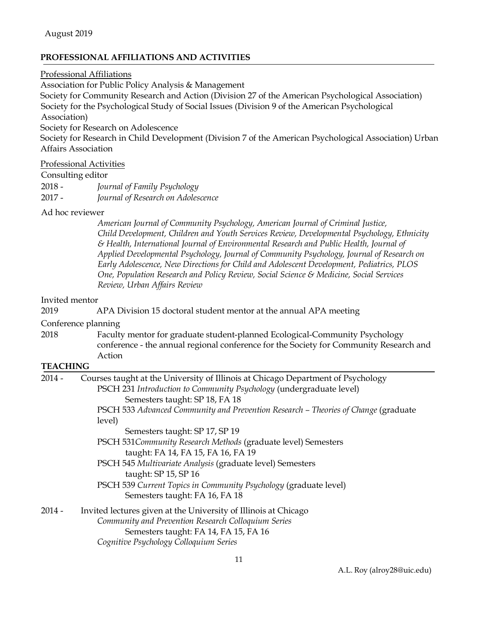### **PROFESSIONAL AFFILIATIONS AND ACTIVITIES**

#### Professional Affiliations

Association for Public Policy Analysis & Management

Society for Community Research and Action (Division 27 of the American Psychological Association) Society for the Psychological Study of Social Issues (Division 9 of the American Psychological Association)

Society for Research on Adolescence

Society for Research in Child Development (Division 7 of the American Psychological Association) Urban Affairs Association

# Professional Activities

#### Consulting editor

2018 - *Journal of Family Psychology* 2017 - *Journal of Research on Adolescence*

#### Ad hoc reviewer

*American Journal of Community Psychology, American Journal of Criminal Justice, Child Development, Children and Youth Services Review, Developmental Psychology, Ethnicity & Health, International Journal of Environmental Research and Public Health, Journal of Applied Developmental Psychology, Journal of Community Psychology, Journal of Research on Early Adolescence, New Directions for Child and Adolescent Development, Pediatrics, PLOS One, Population Research and Policy Review, Social Science & Medicine, Social Services Review, Urban Affairs Review*

#### Invited mentor

2019 APA Division 15 doctoral student mentor at the annual APA meeting

Conference planning

2018 Faculty mentor for graduate student-planned Ecological-Community Psychology conference - the annual regional conference for the Society for Community Research and Action

#### **TEACHING**

| $2014 -$ | Courses taught at the University of Illinois at Chicago Department of Psychology<br>PSCH 231 Introduction to Community Psychology (undergraduate level)                                                   |  |  |
|----------|-----------------------------------------------------------------------------------------------------------------------------------------------------------------------------------------------------------|--|--|
|          | Semesters taught: SP 18, FA 18<br>PSCH 533 Advanced Community and Prevention Research – Theories of Change (graduate<br>level)                                                                            |  |  |
|          | Semesters taught: SP 17, SP 19                                                                                                                                                                            |  |  |
|          | PSCH 531 Community Research Methods (graduate level) Semesters                                                                                                                                            |  |  |
|          | taught: FA 14, FA 15, FA 16, FA 19                                                                                                                                                                        |  |  |
|          | PSCH 545 Multivariate Analysis (graduate level) Semesters<br>taught: SP 15, SP 16                                                                                                                         |  |  |
|          | PSCH 539 Current Topics in Community Psychology (graduate level)<br>Semesters taught: FA 16, FA 18                                                                                                        |  |  |
| $2014 -$ | Invited lectures given at the University of Illinois at Chicago<br>Community and Prevention Research Colloquium Series<br>Semesters taught: FA 14, FA 15, FA 16<br>Cognitive Psychology Colloquium Series |  |  |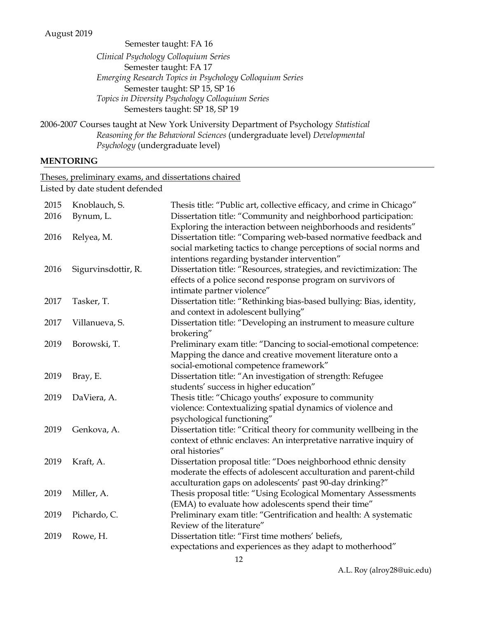Semester taught: FA 16 *Clinical Psychology Colloquium Series* Semester taught: FA 17 *Emerging Research Topics in Psychology Colloquium Series* Semester taught: SP 15, SP 16 *Topics in Diversity Psychology Colloquium Series* Semesters taught: SP 18, SP 19

2006-2007 Courses taught at New York University Department of Psychology *Statistical Reasoning for the Behavioral Sciences* (undergraduate level) *Developmental Psychology* (undergraduate level)

#### **MENTORING**

Theses, preliminary exams, and dissertations chaired

Listed by date student defended

| 2015 | Knoblauch, S.       | Thesis title: "Public art, collective efficacy, and crime in Chicago"                                                         |
|------|---------------------|-------------------------------------------------------------------------------------------------------------------------------|
| 2016 | Bynum, L.           | Dissertation title: "Community and neighborhood participation:                                                                |
|      |                     | Exploring the interaction between neighborhoods and residents"                                                                |
| 2016 | Relyea, M.          | Dissertation title: "Comparing web-based normative feedback and                                                               |
|      |                     | social marketing tactics to change perceptions of social norms and                                                            |
|      |                     | intentions regarding bystander intervention"                                                                                  |
| 2016 | Sigurvinsdottir, R. | Dissertation title: "Resources, strategies, and revictimization: The                                                          |
|      |                     | effects of a police second response program on survivors of                                                                   |
|      |                     | intimate partner violence"                                                                                                    |
| 2017 | Tasker, T.          | Dissertation title: "Rethinking bias-based bullying: Bias, identity,                                                          |
|      |                     | and context in adolescent bullying"                                                                                           |
| 2017 | Villanueva, S.      | Dissertation title: "Developing an instrument to measure culture                                                              |
| 2019 | Borowski, T.        | brokering"                                                                                                                    |
|      |                     | Preliminary exam title: "Dancing to social-emotional competence:<br>Mapping the dance and creative movement literature onto a |
|      |                     | social-emotional competence framework"                                                                                        |
| 2019 | Bray, E.            | Dissertation title: "An investigation of strength: Refugee                                                                    |
|      |                     | students' success in higher education"                                                                                        |
| 2019 | DaViera, A.         | Thesis title: "Chicago youths' exposure to community                                                                          |
|      |                     | violence: Contextualizing spatial dynamics of violence and                                                                    |
|      |                     | psychological functioning"                                                                                                    |
| 2019 | Genkova, A.         | Dissertation title: "Critical theory for community wellbeing in the                                                           |
|      |                     | context of ethnic enclaves: An interpretative narrative inquiry of                                                            |
|      |                     | oral histories"                                                                                                               |
| 2019 | Kraft, A.           | Dissertation proposal title: "Does neighborhood ethnic density                                                                |
|      |                     | moderate the effects of adolescent acculturation and parent-child                                                             |
|      |                     | acculturation gaps on adolescents' past 90-day drinking?"                                                                     |
| 2019 | Miller, A.          | Thesis proposal title: "Using Ecological Momentary Assessments                                                                |
|      |                     | (EMA) to evaluate how adolescents spend their time"                                                                           |
| 2019 | Pichardo, C.        | Preliminary exam title: "Gentrification and health: A systematic                                                              |
|      |                     | Review of the literature"                                                                                                     |
| 2019 | Rowe, H.            | Dissertation title: "First time mothers' beliefs,                                                                             |
|      |                     | expectations and experiences as they adapt to motherhood"                                                                     |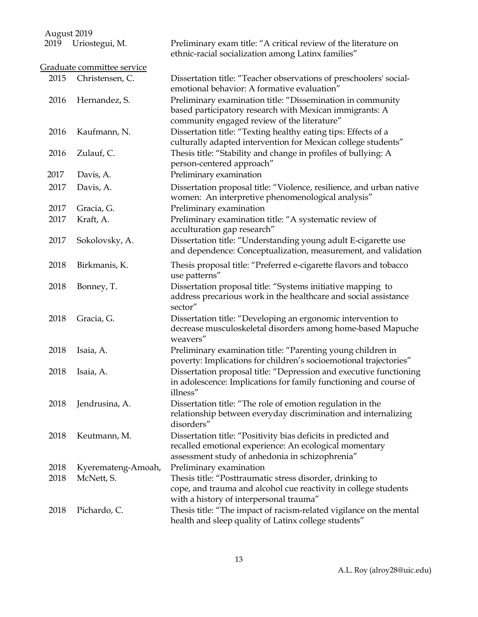| $1.14$ gust 2017 |                            |                                                                                                                                                                             |
|------------------|----------------------------|-----------------------------------------------------------------------------------------------------------------------------------------------------------------------------|
| 2019             | Uriostegui, M.             | Preliminary exam title: "A critical review of the literature on<br>ethnic-racial socialization among Latinx families"                                                       |
|                  | Graduate committee service |                                                                                                                                                                             |
| 2015             | Christensen, C.            | Dissertation title: "Teacher observations of preschoolers' social-<br>emotional behavior: A formative evaluation"                                                           |
| 2016             | Hernandez, S.              | Preliminary examination title: "Dissemination in community<br>based participatory research with Mexican immigrants: A<br>community engaged review of the literature"        |
| 2016             | Kaufmann, N.               | Dissertation title: "Texting healthy eating tips: Effects of a<br>culturally adapted intervention for Mexican college students"                                             |
| 2016             | Zulauf, C.                 | Thesis title: "Stability and change in profiles of bullying: A<br>person-centered approach"                                                                                 |
| 2017             | Davis, A.                  | Preliminary examination                                                                                                                                                     |
| 2017             | Davis, A.                  | Dissertation proposal title: "Violence, resilience, and urban native<br>women: An interpretive phenomenological analysis"                                                   |
| 2017             | Gracia, G.                 | Preliminary examination                                                                                                                                                     |
| 2017             | Kraft, A.                  | Preliminary examination title: "A systematic review of<br>acculturation gap research"                                                                                       |
| 2017             | Sokolovsky, A.             | Dissertation title: "Understanding young adult E-cigarette use<br>and dependence: Conceptualization, measurement, and validation                                            |
| 2018             | Birkmanis, K.              | Thesis proposal title: "Preferred e-cigarette flavors and tobacco<br>use patterns"                                                                                          |
| 2018             | Bonney, T.                 | Dissertation proposal title: "Systems initiative mapping to<br>address precarious work in the healthcare and social assistance<br>sector"                                   |
| 2018             | Gracia, G.                 | Dissertation title: "Developing an ergonomic intervention to<br>decrease musculoskeletal disorders among home-based Mapuche<br>weavers"                                     |
| 2018             | Isaia, A.                  | Preliminary examination title: "Parenting young children in<br>poverty: Implications for children's socioemotional trajectories"                                            |
| 2018             | Isaia, A.                  | Dissertation proposal title: "Depression and executive functioning<br>in adolescence: Implications for family functioning and course of<br>illness"                         |
| 2018             | Jendrusina, A.             | Dissertation title: "The role of emotion regulation in the<br>relationship between everyday discrimination and internalizing<br>disorders"                                  |
| 2018             | Keutmann, M.               | Dissertation title: "Positivity bias deficits in predicted and<br>recalled emotional experience: An ecological momentary<br>assessment study of anhedonia in schizophrenia" |
| 2018             | Kyeremateng-Amoah,         | Preliminary examination                                                                                                                                                     |
| 2018             | McNett, S.                 | Thesis title: "Posttraumatic stress disorder, drinking to<br>cope, and trauma and alcohol cue reactivity in college students<br>with a history of interpersonal trauma"     |
| 2018             | Pichardo, C.               | Thesis title: "The impact of racism-related vigilance on the mental<br>health and sleep quality of Latinx college students"                                                 |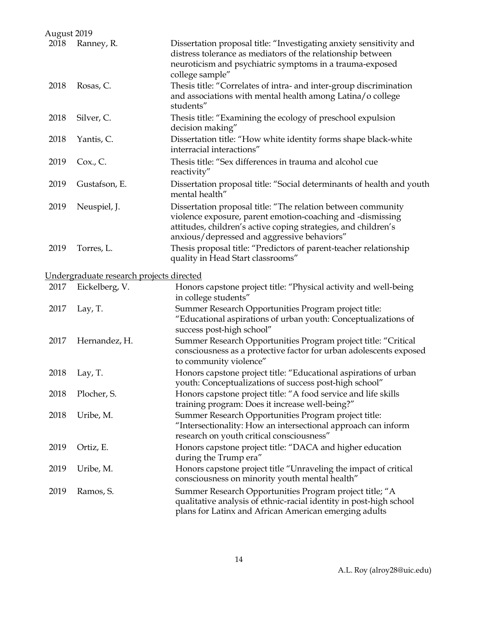| August 2019 |                                          |                                                                                                                                                                                                                                             |
|-------------|------------------------------------------|---------------------------------------------------------------------------------------------------------------------------------------------------------------------------------------------------------------------------------------------|
| 2018        | Ranney, R.                               | Dissertation proposal title: "Investigating anxiety sensitivity and<br>distress tolerance as mediators of the relationship between<br>neuroticism and psychiatric symptoms in a trauma-exposed<br>college sample"                           |
| 2018        | Rosas, C.                                | Thesis title: "Correlates of intra- and inter-group discrimination<br>and associations with mental health among Latina/o college<br>students"                                                                                               |
| 2018        | Silver, C.                               | Thesis title: "Examining the ecology of preschool expulsion<br>decision making"                                                                                                                                                             |
| 2018        | Yantis, C.                               | Dissertation title: "How white identity forms shape black-white<br>interracial interactions"                                                                                                                                                |
| 2019        | $Cox$ ., $C$ .                           | Thesis title: "Sex differences in trauma and alcohol cue<br>reactivity"                                                                                                                                                                     |
| 2019        | Gustafson, E.                            | Dissertation proposal title: "Social determinants of health and youth<br>mental health"                                                                                                                                                     |
| 2019        | Neuspiel, J.                             | Dissertation proposal title: "The relation between community<br>violence exposure, parent emotion-coaching and -dismissing<br>attitudes, children's active coping strategies, and children's<br>anxious/depressed and aggressive behaviors" |
| 2019        | Torres, L.                               | Thesis proposal title: "Predictors of parent-teacher relationship<br>quality in Head Start classrooms"                                                                                                                                      |
|             | Undergraduate research projects directed |                                                                                                                                                                                                                                             |
| 2017        | Eickelberg, V.                           | Honors capstone project title: "Physical activity and well-being<br>in college students"                                                                                                                                                    |
| 2017        | Lay, T.                                  | Summer Research Opportunities Program project title:<br>"Educational aspirations of urban youth: Conceptualizations of<br>success post-high school"                                                                                         |
| 2017        | Hernandez, H.                            | Summer Research Opportunities Program project title: "Critical<br>consciousness as a protective factor for urban adolescents exposed<br>to community violence"                                                                              |
| 2018        | Lay, T.                                  | Honors capstone project title: "Educational aspirations of urban<br>youth: Conceptualizations of success post-high school"                                                                                                                  |
| 2018        | Plocher, S.                              | Honors capstone project title: "A food service and life skills<br>training program: Does it increase well-being?"                                                                                                                           |
| 2018        | Uribe, M.                                | Summer Research Opportunities Program project title:<br>"Intersectionality: How an intersectional approach can inform<br>research on youth critical consciousness"                                                                          |
| 2019        | Ortiz, E.                                | Honors capstone project title: "DACA and higher education<br>during the Trump era"                                                                                                                                                          |
| 2019        | Uribe, M.                                | Honors capstone project title "Unraveling the impact of critical<br>consciousness on minority youth mental health"                                                                                                                          |
| 2019        | Ramos, S.                                | Summer Research Opportunities Program project title; "A<br>qualitative analysis of ethnic-racial identity in post-high school<br>plans for Latinx and African American emerging adults                                                      |